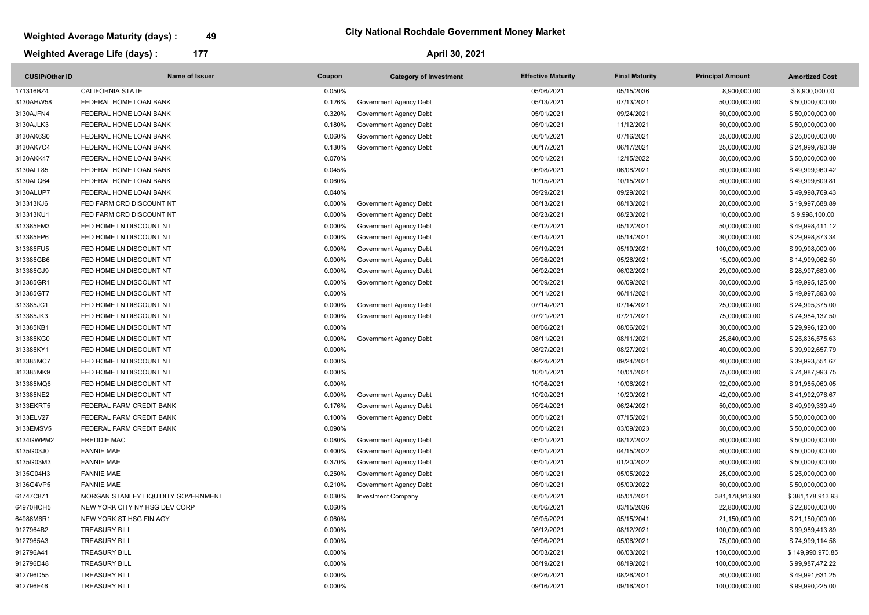### **April 30, 2021**

## **Weighted Average Maturity (days) : 49**

# **Weighted Average Life (days) : 177**

### **City National Rochdale Government Money Market**

| <b>CUSIP/Other ID</b> | Name of Issuer                      | Coupon    | <b>Category of Investment</b> | <b>Effective Maturity</b> | <b>Final Maturity</b> | <b>Principal Amount</b> | <b>Amortized Cost</b> |
|-----------------------|-------------------------------------|-----------|-------------------------------|---------------------------|-----------------------|-------------------------|-----------------------|
| 171316BZ4             | <b>CALIFORNIA STATE</b>             | 0.050%    |                               | 05/06/2021                | 05/15/2036            | 8,900,000.00            | \$8,900,000.00        |
| 3130AHW58             | FEDERAL HOME LOAN BANK              | 0.126%    | Government Agency Debt        | 05/13/2021                | 07/13/2021            | 50,000,000.00           | \$50,000,000.00       |
| 3130AJFN4             | FEDERAL HOME LOAN BANK              | 0.320%    | Government Agency Debt        | 05/01/2021                | 09/24/2021            | 50,000,000.00           | \$50,000,000.00       |
| 3130AJLK3             | FEDERAL HOME LOAN BANK              | 0.180%    | Government Agency Debt        | 05/01/2021                | 11/12/2021            | 50,000,000.00           | \$50,000,000.00       |
| 3130AK6S0             | FEDERAL HOME LOAN BANK              | 0.060%    | Government Agency Debt        | 05/01/2021                | 07/16/2021            | 25,000,000.00           | \$25,000,000.00       |
| 3130AK7C4             | FEDERAL HOME LOAN BANK              | 0.130%    | Government Agency Debt        | 06/17/2021                | 06/17/2021            | 25,000,000.00           | \$24,999,790.39       |
| 3130AKK47             | FEDERAL HOME LOAN BANK              | 0.070%    |                               | 05/01/2021                | 12/15/2022            | 50,000,000.00           | \$50,000,000.00       |
| 3130ALL85             | FEDERAL HOME LOAN BANK              | 0.045%    |                               | 06/08/2021                | 06/08/2021            | 50,000,000.00           | \$49,999,960.42       |
| 3130ALQ64             | FEDERAL HOME LOAN BANK              | 0.060%    |                               | 10/15/2021                | 10/15/2021            | 50,000,000.00           | \$49,999,609.81       |
| 3130ALUP7             | FEDERAL HOME LOAN BANK              | 0.040%    |                               | 09/29/2021                | 09/29/2021            | 50,000,000.00           | \$49,998,769.43       |
| 313313KJ6             | FED FARM CRD DISCOUNT NT            | 0.000%    | Government Agency Debt        | 08/13/2021                | 08/13/2021            | 20,000,000.00           | \$19,997,688.89       |
| 313313KU1             | FED FARM CRD DISCOUNT NT            | 0.000%    | Government Agency Debt        | 08/23/2021                | 08/23/2021            | 10,000,000.00           | \$9,998,100.00        |
| 313385FM3             | FED HOME LN DISCOUNT NT             | 0.000%    | Government Agency Debt        | 05/12/2021                | 05/12/2021            | 50,000,000.00           | \$49,998,411.12       |
| 313385FP6             | FED HOME LN DISCOUNT NT             | 0.000%    | Government Agency Debt        | 05/14/2021                | 05/14/2021            | 30,000,000.00           | \$29,998,873.34       |
| 313385FU5             | FED HOME LN DISCOUNT NT             | 0.000%    | Government Agency Debt        | 05/19/2021                | 05/19/2021            | 100,000,000.00          | \$99,998,000.00       |
| 313385GB6             | FED HOME LN DISCOUNT NT             | 0.000%    | Government Agency Debt        | 05/26/2021                | 05/26/2021            | 15,000,000.00           | \$14,999,062.50       |
| 313385GJ9             | FED HOME LN DISCOUNT NT             | 0.000%    | Government Agency Debt        | 06/02/2021                | 06/02/2021            | 29,000,000.00           | \$28,997,680.00       |
| 313385GR1             | FED HOME LN DISCOUNT NT             | 0.000%    | Government Agency Debt        | 06/09/2021                | 06/09/2021            | 50,000,000.00           | \$49,995,125.00       |
| 313385GT7             | FED HOME LN DISCOUNT NT             | 0.000%    |                               | 06/11/2021                | 06/11/2021            | 50,000,000.00           | \$49,997,893.03       |
| 313385JC1             | FED HOME LN DISCOUNT NT             | 0.000%    | Government Agency Debt        | 07/14/2021                | 07/14/2021            | 25,000,000.00           | \$24,995,375.00       |
| 313385JK3             | FED HOME LN DISCOUNT NT             | 0.000%    | Government Agency Debt        | 07/21/2021                | 07/21/2021            | 75,000,000.00           | \$74,984,137.50       |
| 313385KB1             | FED HOME LN DISCOUNT NT             | 0.000%    |                               | 08/06/2021                | 08/06/2021            | 30,000,000.00           | \$29,996,120.00       |
| 313385KG0             | FED HOME LN DISCOUNT NT             | 0.000%    | Government Agency Debt        | 08/11/2021                | 08/11/2021            | 25,840,000.00           | \$25,836,575.63       |
| 313385KY1             | FED HOME LN DISCOUNT NT             | 0.000%    |                               | 08/27/2021                | 08/27/2021            | 40,000,000.00           | \$39,992,657.79       |
| 313385MC7             | FED HOME LN DISCOUNT NT             | 0.000%    |                               | 09/24/2021                | 09/24/2021            | 40,000,000.00           | \$39,993,551.67       |
| 313385MK9             | FED HOME LN DISCOUNT NT             | 0.000%    |                               | 10/01/2021                | 10/01/2021            | 75,000,000.00           | \$74,987,993.75       |
| 313385MQ6             | FED HOME LN DISCOUNT NT             | 0.000%    |                               | 10/06/2021                | 10/06/2021            | 92,000,000.00           | \$91,985,060.05       |
| 313385NE2             | FED HOME LN DISCOUNT NT             | $0.000\%$ | <b>Government Agency Debt</b> | 10/20/2021                | 10/20/2021            | 42,000,000.00           | \$41,992,976.67       |
| 3133EKRT5             | FEDERAL FARM CREDIT BANK            | 0.176%    | Government Agency Debt        | 05/24/2021                | 06/24/2021            | 50,000,000.00           | \$49,999,339.49       |
| 3133ELV27             | FEDERAL FARM CREDIT BANK            | 0.100%    | Government Agency Debt        | 05/01/2021                | 07/15/2021            | 50,000,000.00           | \$50,000,000.00       |
| 3133EMSV5             | FEDERAL FARM CREDIT BANK            | 0.090%    |                               | 05/01/2021                | 03/09/2023            | 50,000,000.00           | \$50,000,000.00       |
| 3134GWPM2             | <b>FREDDIE MAC</b>                  | 0.080%    | Government Agency Debt        | 05/01/2021                | 08/12/2022            | 50,000,000.00           | \$50,000,000.00       |
| 3135G03J0             | <b>FANNIE MAE</b>                   | 0.400%    | Government Agency Debt        | 05/01/2021                | 04/15/2022            | 50,000,000.00           | \$50,000,000.00       |
| 3135G03M3             | <b>FANNIE MAE</b>                   | 0.370%    | Government Agency Debt        | 05/01/2021                | 01/20/2022            | 50,000,000.00           | \$50,000,000.00       |
| 3135G04H3             | <b>FANNIE MAE</b>                   | 0.250%    | Government Agency Debt        | 05/01/2021                | 05/05/2022            | 25,000,000.00           | \$25,000,000.00       |
| 3136G4VP5             | <b>FANNIE MAE</b>                   | 0.210%    | Government Agency Debt        | 05/01/2021                | 05/09/2022            | 50,000,000.00           | \$50,000,000.00       |
| 61747C871             | MORGAN STANLEY LIQUIDITY GOVERNMENT | 0.030%    | <b>Investment Company</b>     | 05/01/2021                | 05/01/2021            | 381,178,913.93          | \$381,178,913.93      |
| 64970HCH5             | NEW YORK CITY NY HSG DEV CORP       | 0.060%    |                               | 05/06/2021                | 03/15/2036            | 22,800,000.00           | \$22,800,000.00       |
| 64986M6R1             | NEW YORK ST HSG FIN AGY             | 0.060%    |                               | 05/05/2021                | 05/15/2041            | 21,150,000.00           | \$21,150,000.00       |
| 9127964B2             | <b>TREASURY BILL</b>                | 0.000%    |                               | 08/12/2021                | 08/12/2021            | 100,000,000.00          | \$99,989,413.89       |
| 9127965A3             | <b>TREASURY BILL</b>                | 0.000%    |                               | 05/06/2021                | 05/06/2021            | 75,000,000.00           | \$74,999,114.58       |
| 912796A41             | <b>TREASURY BILL</b>                | 0.000%    |                               | 06/03/2021                | 06/03/2021            | 150,000,000.00          | \$149,990,970.85      |
| 912796D48             | <b>TREASURY BILL</b>                | 0.000%    |                               | 08/19/2021                | 08/19/2021            | 100,000,000.00          | \$99,987,472.22       |
| 912796D55             | <b>TREASURY BILL</b>                | 0.000%    |                               | 08/26/2021                | 08/26/2021            | 50,000,000.00           | \$49,991,631.25       |
| 912796F46             | <b>TREASURY BILL</b>                | 0.000%    |                               | 09/16/2021                | 09/16/2021            | 100,000,000.00          | \$99,990,225.00       |